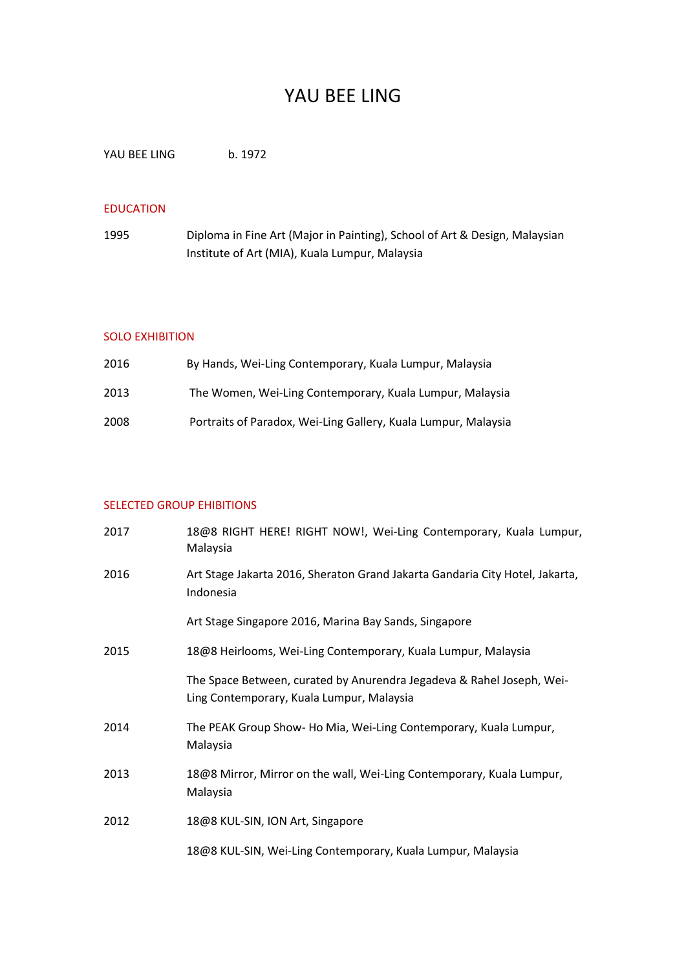# YAU BEE LING

YAU BEE LING b. 1972

### EDUCATION

1995 Diploma in Fine Art (Major in Painting), School of Art & Design, Malaysian Institute of Art (MIA), Kuala Lumpur, Malaysia

#### SOLO EXHIBITION

| 2016 | By Hands, Wei-Ling Contemporary, Kuala Lumpur, Malaysia        |
|------|----------------------------------------------------------------|
| 2013 | The Women, Wei-Ling Contemporary, Kuala Lumpur, Malaysia       |
| 2008 | Portraits of Paradox, Wei-Ling Gallery, Kuala Lumpur, Malaysia |

## SELECTED GROUP EHIBITIONS

| 2017 | 18@8 RIGHT HERE! RIGHT NOW!, Wei-Ling Contemporary, Kuala Lumpur,<br>Malaysia                                      |
|------|--------------------------------------------------------------------------------------------------------------------|
| 2016 | Art Stage Jakarta 2016, Sheraton Grand Jakarta Gandaria City Hotel, Jakarta,<br>Indonesia                          |
|      | Art Stage Singapore 2016, Marina Bay Sands, Singapore                                                              |
| 2015 | 18@8 Heirlooms, Wei-Ling Contemporary, Kuala Lumpur, Malaysia                                                      |
|      | The Space Between, curated by Anurendra Jegadeva & Rahel Joseph, Wei-<br>Ling Contemporary, Kuala Lumpur, Malaysia |
| 2014 | The PEAK Group Show- Ho Mia, Wei-Ling Contemporary, Kuala Lumpur,<br>Malaysia                                      |
| 2013 | 18@8 Mirror, Mirror on the wall, Wei-Ling Contemporary, Kuala Lumpur,<br>Malaysia                                  |
| 2012 | 18@8 KUL-SIN, ION Art, Singapore                                                                                   |
|      | 18@8 KUL-SIN, Wei-Ling Contemporary, Kuala Lumpur, Malaysia                                                        |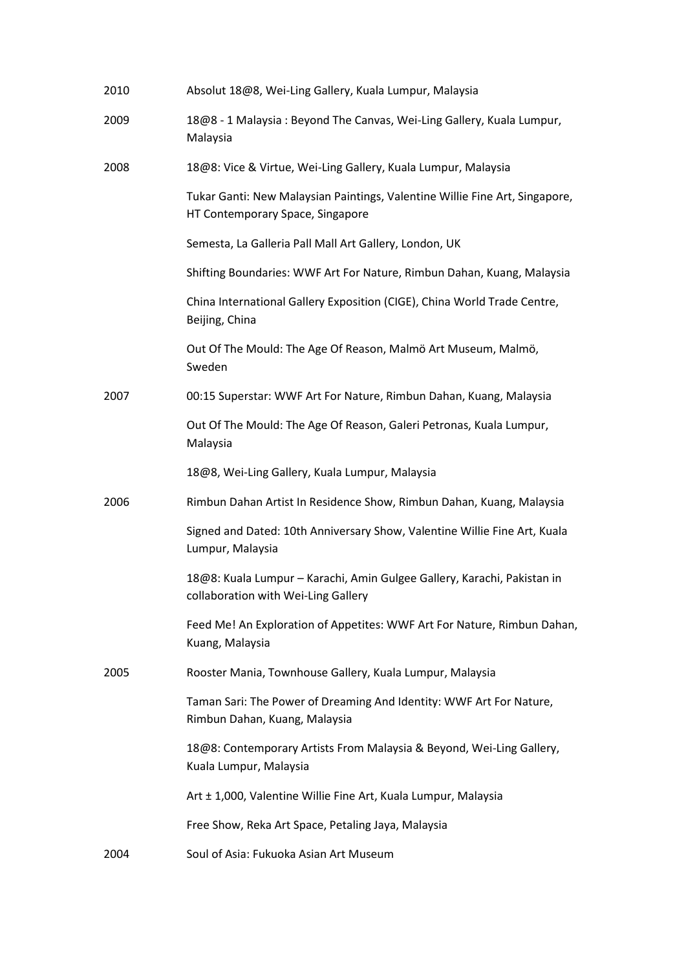| 2010 | Absolut 18@8, Wei-Ling Gallery, Kuala Lumpur, Malaysia                                                          |
|------|-----------------------------------------------------------------------------------------------------------------|
| 2009 | 18@8 - 1 Malaysia: Beyond The Canvas, Wei-Ling Gallery, Kuala Lumpur,<br>Malaysia                               |
| 2008 | 18@8: Vice & Virtue, Wei-Ling Gallery, Kuala Lumpur, Malaysia                                                   |
|      | Tukar Ganti: New Malaysian Paintings, Valentine Willie Fine Art, Singapore,<br>HT Contemporary Space, Singapore |
|      | Semesta, La Galleria Pall Mall Art Gallery, London, UK                                                          |
|      | Shifting Boundaries: WWF Art For Nature, Rimbun Dahan, Kuang, Malaysia                                          |
|      | China International Gallery Exposition (CIGE), China World Trade Centre,<br>Beijing, China                      |
|      | Out Of The Mould: The Age Of Reason, Malmö Art Museum, Malmö,<br>Sweden                                         |
| 2007 | 00:15 Superstar: WWF Art For Nature, Rimbun Dahan, Kuang, Malaysia                                              |
|      | Out Of The Mould: The Age Of Reason, Galeri Petronas, Kuala Lumpur,<br>Malaysia                                 |
|      | 18@8, Wei-Ling Gallery, Kuala Lumpur, Malaysia                                                                  |
| 2006 | Rimbun Dahan Artist In Residence Show, Rimbun Dahan, Kuang, Malaysia                                            |
|      | Signed and Dated: 10th Anniversary Show, Valentine Willie Fine Art, Kuala<br>Lumpur, Malaysia                   |
|      | 18@8: Kuala Lumpur - Karachi, Amin Gulgee Gallery, Karachi, Pakistan in<br>collaboration with Wei-Ling Gallery  |
|      | Feed Me! An Exploration of Appetites: WWF Art For Nature, Rimbun Dahan,<br>Kuang, Malaysia                      |
| 2005 | Rooster Mania, Townhouse Gallery, Kuala Lumpur, Malaysia                                                        |
|      | Taman Sari: The Power of Dreaming And Identity: WWF Art For Nature,<br>Rimbun Dahan, Kuang, Malaysia            |
|      | 18@8: Contemporary Artists From Malaysia & Beyond, Wei-Ling Gallery,<br>Kuala Lumpur, Malaysia                  |
|      | Art ± 1,000, Valentine Willie Fine Art, Kuala Lumpur, Malaysia                                                  |
|      | Free Show, Reka Art Space, Petaling Jaya, Malaysia                                                              |
| 2004 | Soul of Asia: Fukuoka Asian Art Museum                                                                          |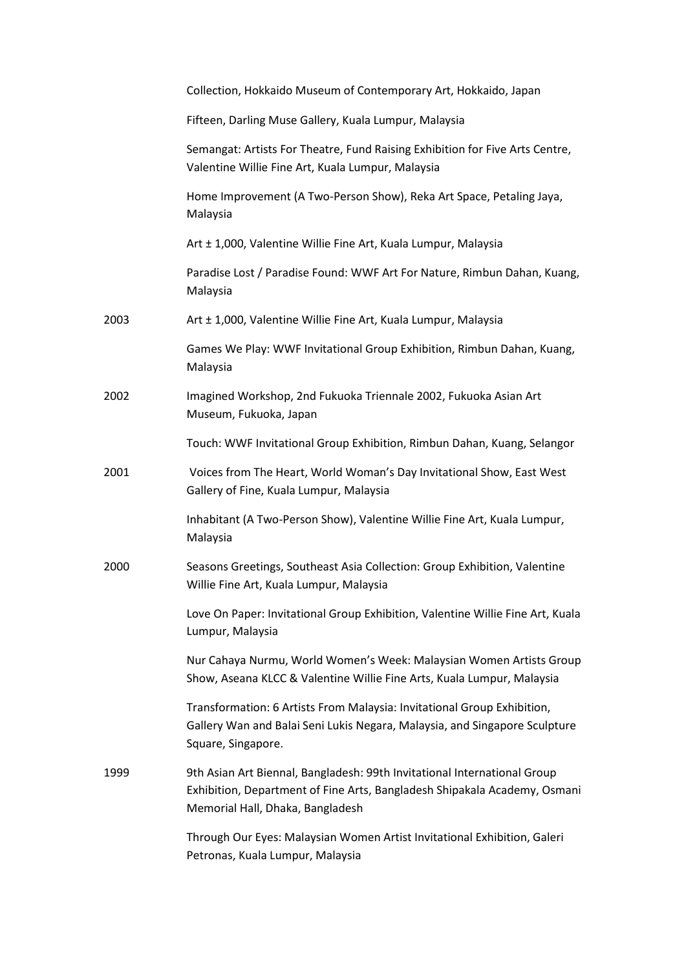|      | Collection, Hokkaido Museum of Contemporary Art, Hokkaido, Japan                                                                                                                          |
|------|-------------------------------------------------------------------------------------------------------------------------------------------------------------------------------------------|
|      | Fifteen, Darling Muse Gallery, Kuala Lumpur, Malaysia                                                                                                                                     |
|      | Semangat: Artists For Theatre, Fund Raising Exhibition for Five Arts Centre,<br>Valentine Willie Fine Art, Kuala Lumpur, Malaysia                                                         |
|      | Home Improvement (A Two-Person Show), Reka Art Space, Petaling Jaya,<br>Malaysia                                                                                                          |
|      | Art ± 1,000, Valentine Willie Fine Art, Kuala Lumpur, Malaysia                                                                                                                            |
|      | Paradise Lost / Paradise Found: WWF Art For Nature, Rimbun Dahan, Kuang,<br>Malaysia                                                                                                      |
| 2003 | Art ± 1,000, Valentine Willie Fine Art, Kuala Lumpur, Malaysia                                                                                                                            |
|      | Games We Play: WWF Invitational Group Exhibition, Rimbun Dahan, Kuang,<br>Malaysia                                                                                                        |
| 2002 | Imagined Workshop, 2nd Fukuoka Triennale 2002, Fukuoka Asian Art<br>Museum, Fukuoka, Japan                                                                                                |
|      | Touch: WWF Invitational Group Exhibition, Rimbun Dahan, Kuang, Selangor                                                                                                                   |
| 2001 | Voices from The Heart, World Woman's Day Invitational Show, East West<br>Gallery of Fine, Kuala Lumpur, Malaysia                                                                          |
|      | Inhabitant (A Two-Person Show), Valentine Willie Fine Art, Kuala Lumpur,<br>Malaysia                                                                                                      |
| 2000 | Seasons Greetings, Southeast Asia Collection: Group Exhibition, Valentine<br>Willie Fine Art, Kuala Lumpur, Malaysia                                                                      |
|      | Love On Paper: Invitational Group Exhibition, Valentine Willie Fine Art, Kuala<br>Lumpur, Malaysia                                                                                        |
|      | Nur Cahaya Nurmu, World Women's Week: Malaysian Women Artists Group<br>Show, Aseana KLCC & Valentine Willie Fine Arts, Kuala Lumpur, Malaysia                                             |
|      | Transformation: 6 Artists From Malaysia: Invitational Group Exhibition,<br>Gallery Wan and Balai Seni Lukis Negara, Malaysia, and Singapore Sculpture<br>Square, Singapore.               |
| 1999 | 9th Asian Art Biennal, Bangladesh: 99th Invitational International Group<br>Exhibition, Department of Fine Arts, Bangladesh Shipakala Academy, Osmani<br>Memorial Hall, Dhaka, Bangladesh |
|      | Through Our Eyes: Malaysian Women Artist Invitational Exhibition, Galeri<br>Petronas, Kuala Lumpur, Malaysia                                                                              |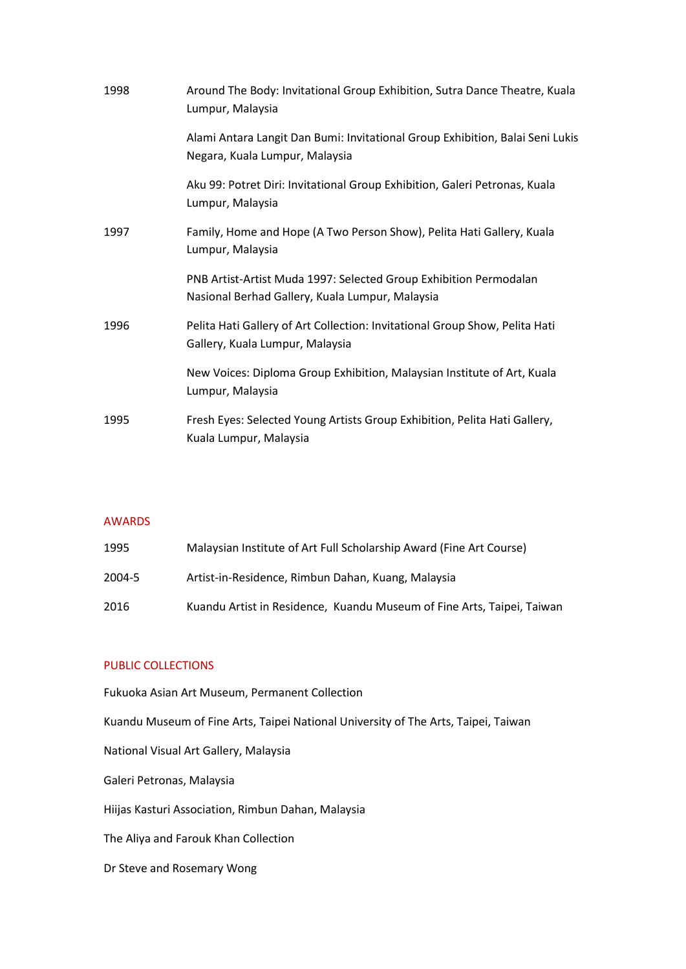| 1998 | Around The Body: Invitational Group Exhibition, Sutra Dance Theatre, Kuala<br>Lumpur, Malaysia                       |
|------|----------------------------------------------------------------------------------------------------------------------|
|      | Alami Antara Langit Dan Bumi: Invitational Group Exhibition, Balai Seni Lukis<br>Negara, Kuala Lumpur, Malaysia      |
|      | Aku 99: Potret Diri: Invitational Group Exhibition, Galeri Petronas, Kuala<br>Lumpur, Malaysia                       |
| 1997 | Family, Home and Hope (A Two Person Show), Pelita Hati Gallery, Kuala<br>Lumpur, Malaysia                            |
|      | PNB Artist-Artist Muda 1997: Selected Group Exhibition Permodalan<br>Nasional Berhad Gallery, Kuala Lumpur, Malaysia |
| 1996 | Pelita Hati Gallery of Art Collection: Invitational Group Show, Pelita Hati<br>Gallery, Kuala Lumpur, Malaysia       |
|      | New Voices: Diploma Group Exhibition, Malaysian Institute of Art, Kuala<br>Lumpur, Malaysia                          |
| 1995 | Fresh Eyes: Selected Young Artists Group Exhibition, Pelita Hati Gallery,<br>Kuala Lumpur, Malaysia                  |

#### AWARDS

| 1995   | Malaysian Institute of Art Full Scholarship Award (Fine Art Course)    |
|--------|------------------------------------------------------------------------|
| 2004-5 | Artist-in-Residence, Rimbun Dahan, Kuang, Malaysia                     |
| 2016   | Kuandu Artist in Residence, Kuandu Museum of Fine Arts, Taipei, Taiwan |

# PUBLIC COLLECTIONS

Fukuoka Asian Art Museum, Permanent Collection Kuandu Museum of Fine Arts, Taipei National University of The Arts, Taipei, Taiwan National Visual Art Gallery, Malaysia Galeri Petronas, Malaysia Hiijas Kasturi Association, Rimbun Dahan, Malaysia The Aliya and Farouk Khan Collection Dr Steve and Rosemary Wong